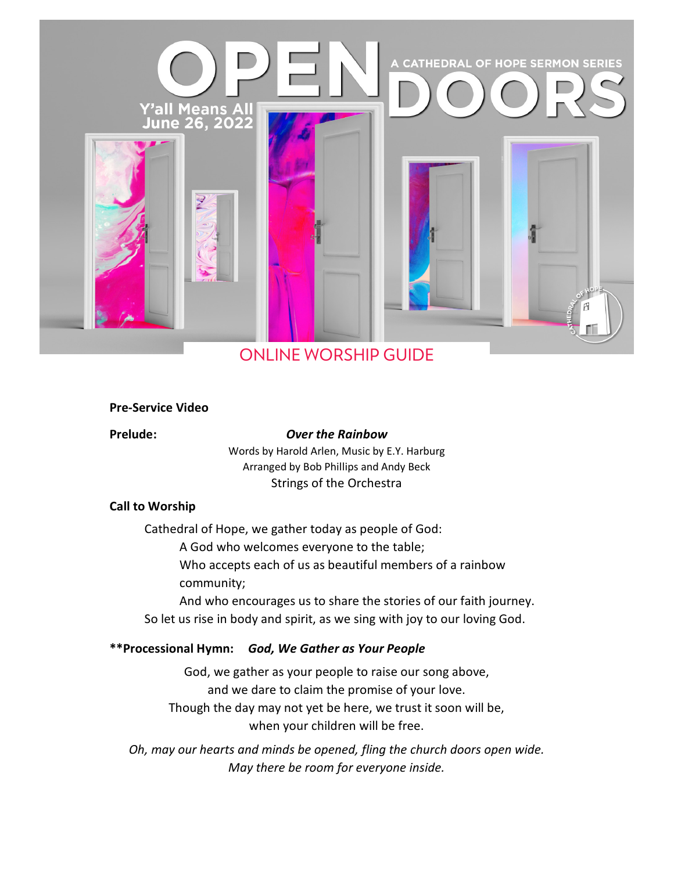

# ONLINE WORSHIP GUIDE

#### **Pre-Service Video**

### **Prelude:** *Over the Rainbow*

Words by Harold Arlen, Music by E.Y. Harburg Arranged by Bob Phillips and Andy Beck Strings of the Orchestra

#### **Call to Worship**

Cathedral of Hope, we gather today as people of God:

A God who welcomes everyone to the table;

Who accepts each of us as beautiful members of a rainbow community;

And who encourages us to share the stories of our faith journey. So let us rise in body and spirit, as we sing with joy to our loving God.

### **\*\*Processional Hymn:** *God, We Gather as Your People*

God, we gather as your people to raise our song above, and we dare to claim the promise of your love. Though the day may not yet be here, we trust it soon will be, when your children will be free.

*Oh, may our hearts and minds be opened, fling the church doors open wide. May there be room for everyone inside.*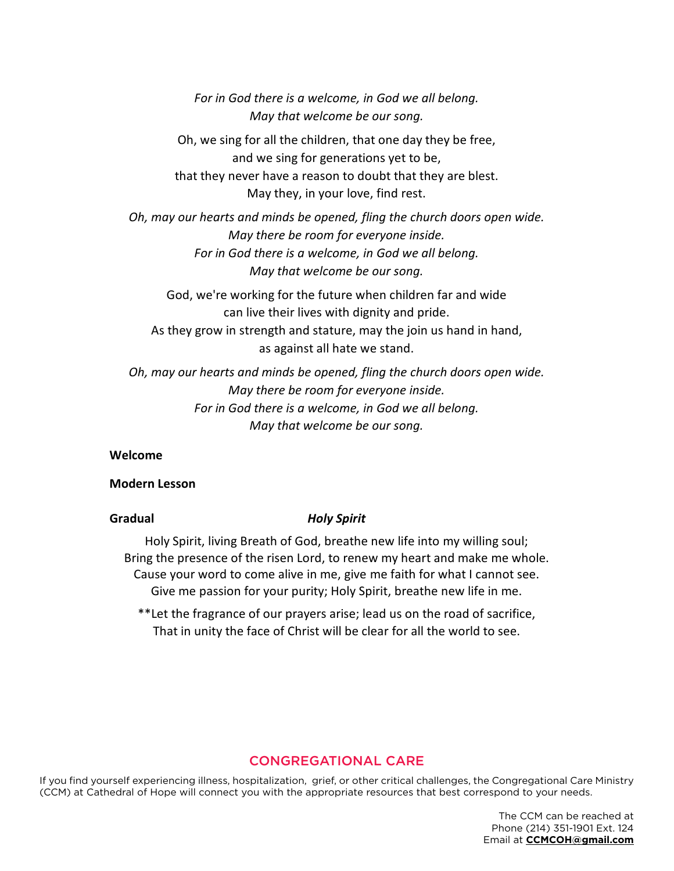*For in God there is a welcome, in God we all belong. May that welcome be our song.*

Oh, we sing for all the children, that one day they be free, and we sing for generations yet to be, that they never have a reason to doubt that they are blest. May they, in your love, find rest.

*Oh, may our hearts and minds be opened, fling the church doors open wide. May there be room for everyone inside. For in God there is a welcome, in God we all belong. May that welcome be our song.*

God, we're working for the future when children far and wide can live their lives with dignity and pride. As they grow in strength and stature, may the join us hand in hand, as against all hate we stand.

*Oh, may our hearts and minds be opened, fling the church doors open wide. May there be room for everyone inside. For in God there is a welcome, in God we all belong. May that welcome be our song.*

#### **Welcome**

#### **Modern Lesson**

#### **Gradual** *Holy Spirit*

Holy Spirit, living Breath of God, breathe new life into my willing soul; Bring the presence of the risen Lord, to renew my heart and make me whole. Cause your word to come alive in me, give me faith for what I cannot see. Give me passion for your purity; Holy Spirit, breathe new life in me.

\*\*Let the fragrance of our prayers arise; lead us on the road of sacrifice, That in unity the face of Christ will be clear for all the world to see.

# CONGREGATIONAL CARE

If you find yourself experiencing illness, hospitalization, grief, or other critical challenges, the Congregational Care Ministry (CCM) at Cathedral of Hope will connect you with the appropriate resources that best correspond to your needs.

> The CCM can be reached at Phone (214) 351-1901 Ext. 124 Email at **CCMCOH@gmail.com**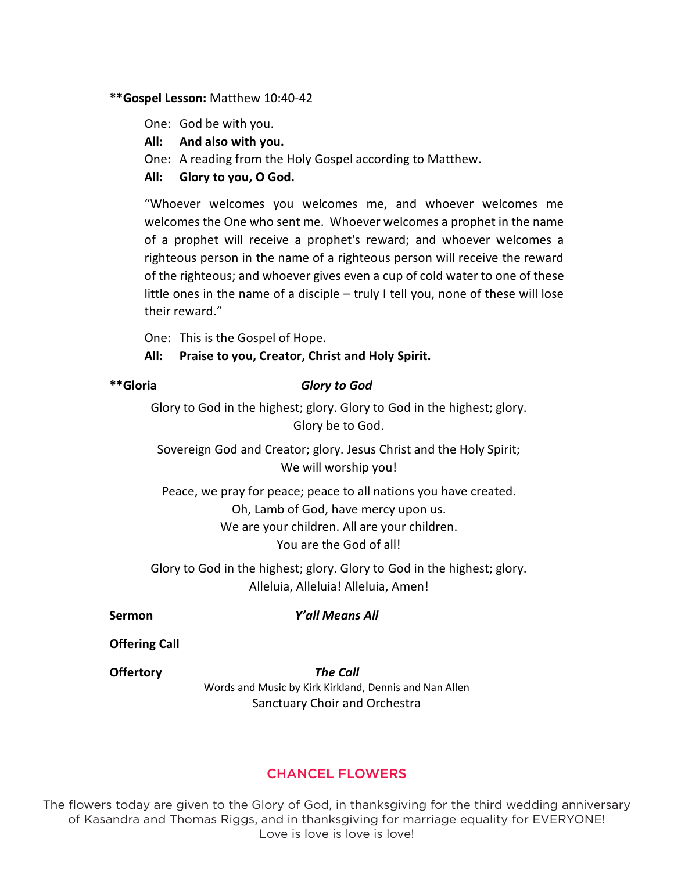# **\*\*Gospel Lesson:** Matthew 10:40-42

One: God be with you.

- **All: And also with you.**
- One: A reading from the Holy Gospel according to Matthew.
- **All: Glory to you, O God.**

"Whoever welcomes you welcomes me, and whoever welcomes me welcomes the One who sent me. Whoever welcomes a prophet in the name of a prophet will receive a prophet's reward; and whoever welcomes a righteous person in the name of a righteous person will receive the reward of the righteous; and whoever gives even a cup of cold water to one of these little ones in the name of a disciple – truly I tell you, none of these will lose their reward."

One: This is the Gospel of Hope.

### **All: Praise to you, Creator, Christ and Holy Spirit.**

# **\*\*Gloria** *Glory to God*

Glory to God in the highest; glory. Glory to God in the highest; glory. Glory be to God.

Sovereign God and Creator; glory. Jesus Christ and the Holy Spirit; We will worship you!

Peace, we pray for peace; peace to all nations you have created. Oh, Lamb of God, have mercy upon us. We are your children. All are your children. You are the God of all!

Glory to God in the highest; glory. Glory to God in the highest; glory. Alleluia, Alleluia! Alleluia, Amen!

#### **Sermon** *Y'all Means All*

**Offering Call**

**Offertory** *The Call*  Words and Music by Kirk Kirkland, Dennis and Nan Allen Sanctuary Choir and Orchestra

# CHANCEL FLOWERS

The flowers today are given to the Glory of God, in thanksgiving for the third wedding anniversary of Kasandra and Thomas Riggs, and in thanksgiving for marriage equality for EVERYONE! Love is love is love is love!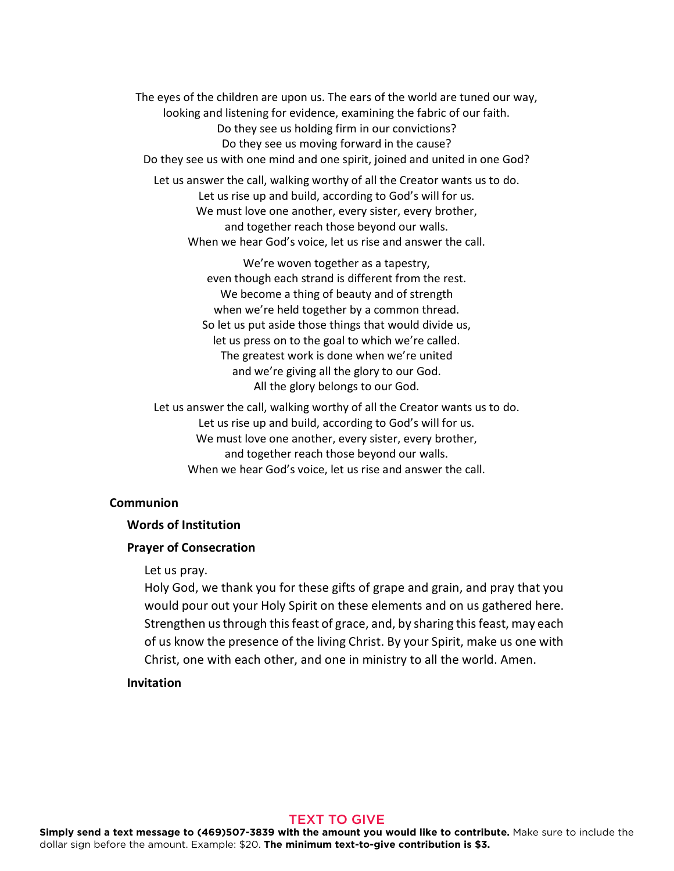The eyes of the children are upon us. The ears of the world are tuned our way, looking and listening for evidence, examining the fabric of our faith. Do they see us holding firm in our convictions? Do they see us moving forward in the cause? Do they see us with one mind and one spirit, joined and united in one God?

Let us answer the call, walking worthy of all the Creator wants us to do. Let us rise up and build, according to God's will for us. We must love one another, every sister, every brother, and together reach those beyond our walls. When we hear God's voice, let us rise and answer the call.

> We're woven together as a tapestry, even though each strand is different from the rest. We become a thing of beauty and of strength when we're held together by a common thread. So let us put aside those things that would divide us, let us press on to the goal to which we're called. The greatest work is done when we're united and we're giving all the glory to our God. All the glory belongs to our God.

Let us answer the call, walking worthy of all the Creator wants us to do. Let us rise up and build, according to God's will for us. We must love one another, every sister, every brother, and together reach those beyond our walls. When we hear God's voice, let us rise and answer the call.

### **Communion**

#### **Words of Institution**

#### **Prayer of Consecration**

#### Let us pray.

Holy God, we thank you for these gifts of grape and grain, and pray that you would pour out your Holy Spirit on these elements and on us gathered here. Strengthen us through this feast of grace, and, by sharing this feast, may each of us know the presence of the living Christ. By your Spirit, make us one with Christ, one with each other, and one in ministry to all the world. Amen.

# **Invitation**

#### TEXT TO GIVE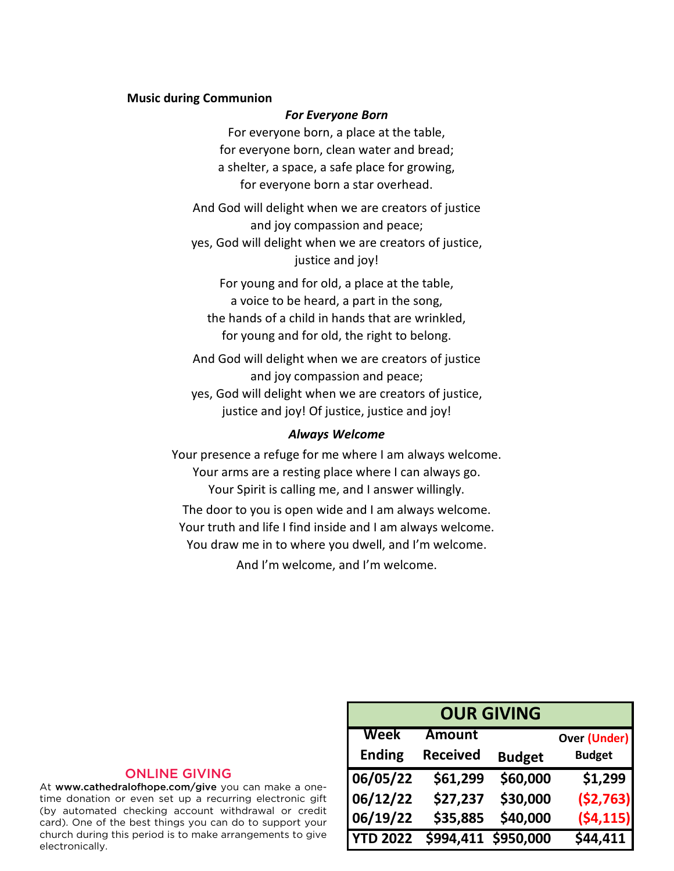#### **Music during Communion**

#### *For Everyone Born*

For everyone born, a place at the table, for everyone born, clean water and bread; a shelter, a space, a safe place for growing, for everyone born a star overhead.

And God will delight when we are creators of justice and joy compassion and peace; yes, God will delight when we are creators of justice, justice and joy!

For young and for old, a place at the table, a voice to be heard, a part in the song, the hands of a child in hands that are wrinkled, for young and for old, the right to belong.

And God will delight when we are creators of justice and joy compassion and peace; yes, God will delight when we are creators of justice, justice and joy! Of justice, justice and joy!

#### *Always Welcome*

Your presence a refuge for me where I am always welcome. Your arms are a resting place where I can always go. Your Spirit is calling me, and I answer willingly. The door to you is open wide and I am always welcome. Your truth and life I find inside and I am always welcome. You draw me in to where you dwell, and I'm welcome.

And I'm welcome, and I'm welcome.

# ONLINE GIVING

At www.cathedralofhope.com/give you can make a onetime donation or even set up a recurring electronic gift (by automated checking account withdrawal or credit card). One of the best things you can do to support your church during this period is to make arrangements to give electronically.

| <b>OUR GIVING</b> |                     |               |                     |
|-------------------|---------------------|---------------|---------------------|
| Week              | <b>Amount</b>       |               | <b>Over (Under)</b> |
| <b>Ending</b>     | <b>Received</b>     | <b>Budget</b> | <b>Budget</b>       |
| 06/05/22          | \$61,299            | \$60,000      | \$1,299             |
| 06/12/22          | \$27,237            | \$30,000      | (52, 763)           |
| 06/19/22          | \$35,885            | \$40,000      | (54, 115)           |
| <b>YTD 2022</b>   | \$994,411 \$950,000 |               | \$44,411            |